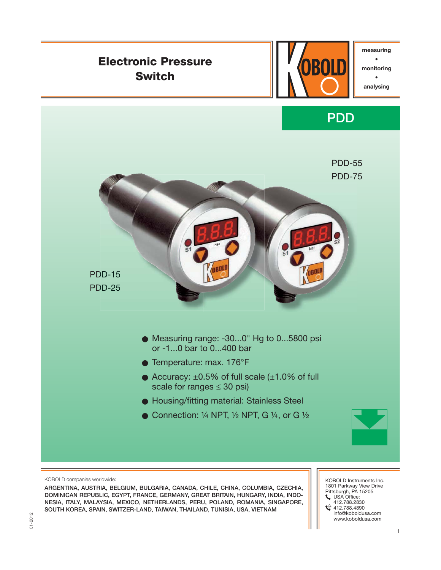

**ARGENTINA, AUSTRIA, BELGIUM, BULGARIA, CANADA, CHILE, CHINA, COLUMBIA, CZECHIA, DOMINICAN REPUBLIC, EGYPT, FRANCE, GERMANY, GREAT BRITAIN, HUNGARY, INDIA, INDO-NESIA, ITALY, MALAYSIA, MEXICO, NETHERLANDS, PERU, POLAND, ROMANIA, SINGAPORE, SOUTH KOREA, SPAIN, SWITZER-LAND, TAIWAN, THAILAND, TUNISIA, USA, VIETNAM**

KOBOLD Instruments Inc. 1801 Parkway View Drive<br>Pittsburgh, PA 15205<br>↓ USA Office:<br>↓ 412.788.4890<br>↓ 412.788.4890 info@koboldusa.com www.koboldusa.com